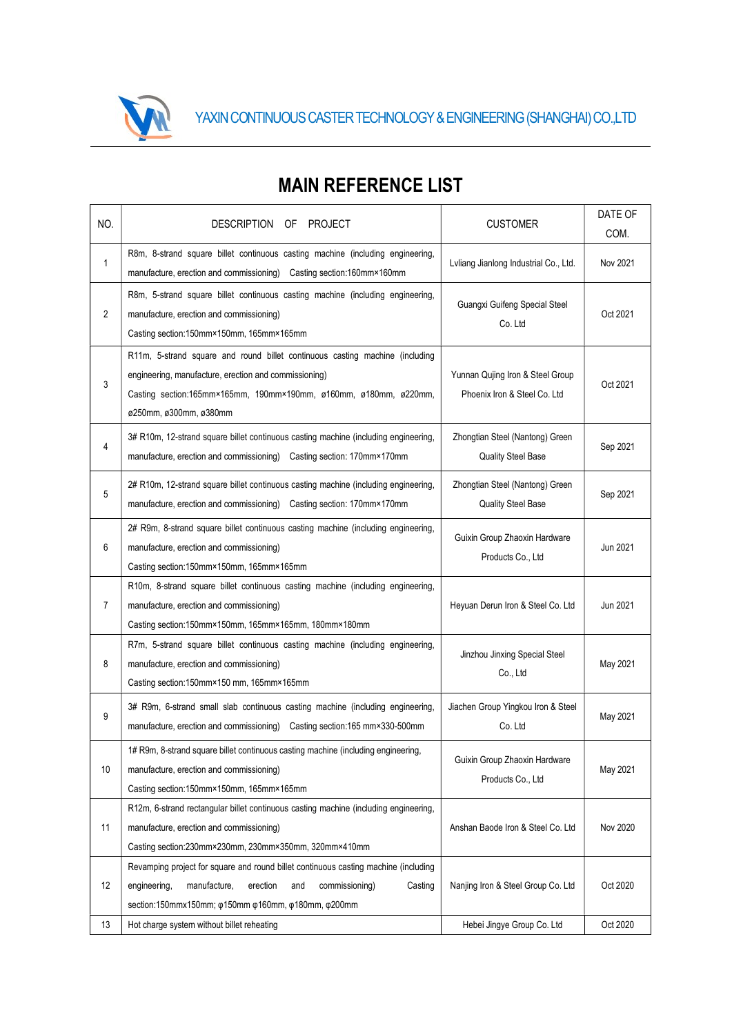

| NO.            | DESCRIPTION OF PROJECT                                                                                                                                                                                                                                        | <b>CUSTOMER</b>                                                  | DATE OF<br>COM. |
|----------------|---------------------------------------------------------------------------------------------------------------------------------------------------------------------------------------------------------------------------------------------------------------|------------------------------------------------------------------|-----------------|
| 1              | R8m, 8-strand square billet continuous casting machine (including engineering,<br>manufacture, erection and commissioning) Casting section:160mm×160mm                                                                                                        | Lyliang Jianlong Industrial Co., Ltd.                            | Nov 2021        |
| $\overline{2}$ | R8m, 5-strand square billet continuous casting machine (including engineering,<br>manufacture, erection and commissioning)<br>Casting section:150mm×150mm, 165mm×165mm                                                                                        | Guangxi Guifeng Special Steel<br>Co. Ltd                         | Oct 2021        |
| 3              | R11m, 5-strand square and round billet continuous casting machine (including<br>engineering, manufacture, erection and commissioning)<br>Casting section:165mm×165mm, 190mm×190mm, ø160mm, ø180mm, ø220mm,<br>ø250mm, ø300mm, ø380mm                          | Yunnan Qujing Iron & Steel Group<br>Phoenix Iron & Steel Co. Ltd | Oct 2021        |
| $\overline{4}$ | 3# R10m, 12-strand square billet continuous casting machine (including engineering,<br>manufacture, erection and commissioning) Casting section: 170mm×170mm                                                                                                  | Zhongtian Steel (Nantong) Green<br><b>Quality Steel Base</b>     | Sep 2021        |
| 5              | 2# R10m, 12-strand square billet continuous casting machine (including engineering,<br>manufacture, erection and commissioning) Casting section: 170mm×170mm                                                                                                  | Zhongtian Steel (Nantong) Green<br>Quality Steel Base            | Sep 2021        |
| 6              | 2# R9m, 8-strand square billet continuous casting machine (including engineering,<br>manufacture, erection and commissioning)<br>Casting section:150mm×150mm, 165mm×165mm                                                                                     | Guixin Group Zhaoxin Hardware<br>Products Co., Ltd               | Jun 2021        |
| $\overline{7}$ | R10m, 8-strand square billet continuous casting machine (including engineering,<br>manufacture, erection and commissioning)<br>Casting section:150mm×150mm, 165mm×165mm, 180mm×180mm                                                                          | Heyuan Derun Iron & Steel Co. Ltd                                | Jun 2021        |
| 8              | R7m, 5-strand square billet continuous casting machine (including engineering,<br>manufacture, erection and commissioning)<br>Casting section:150mm×150 mm, 165mm×165mm                                                                                       | Jinzhou Jinxing Special Steel<br>Co., Ltd                        | May 2021        |
| 9              | 3# R9m, 6-strand small slab continuous casting machine (including engineering,<br>manufacture, erection and commissioning) Casting section:165 mm×330-500mm                                                                                                   | Jiachen Group Yingkou Iron & Steel<br>Co. Ltd                    | May 2021        |
| 10             | 1# R9m, 8-strand square billet continuous casting machine (including engineering,<br>manufacture, erection and commissioning)<br>Casting section:150mm×150mm, 165mm×165mm                                                                                     | Guixin Group Zhaoxin Hardware<br>Products Co., Ltd               | May 2021        |
| 11             | R12m, 6-strand rectangular billet continuous casting machine (including engineering,<br>manufacture, erection and commissioning)<br>Casting section:230mm×230mm, 230mm×350mm, 320mm×410mm                                                                     | Anshan Baode Iron & Steel Co. Ltd                                | Nov 2020        |
| 12             | Revamping project for square and round billet continuous casting machine (including<br>engineering,<br>manufacture,<br>Casting<br>erection<br>and<br>commissioning)<br>section:150mmx150mm; $\varphi$ 150mm $\varphi$ 160mm, $\varphi$ 180mm, $\varphi$ 200mm | Nanjing Iron & Steel Group Co. Ltd                               | Oct 2020        |
| 13             | Hot charge system without billet reheating                                                                                                                                                                                                                    | Hebei Jingye Group Co. Ltd                                       | Oct 2020        |

## MAIN REFERENCE LIST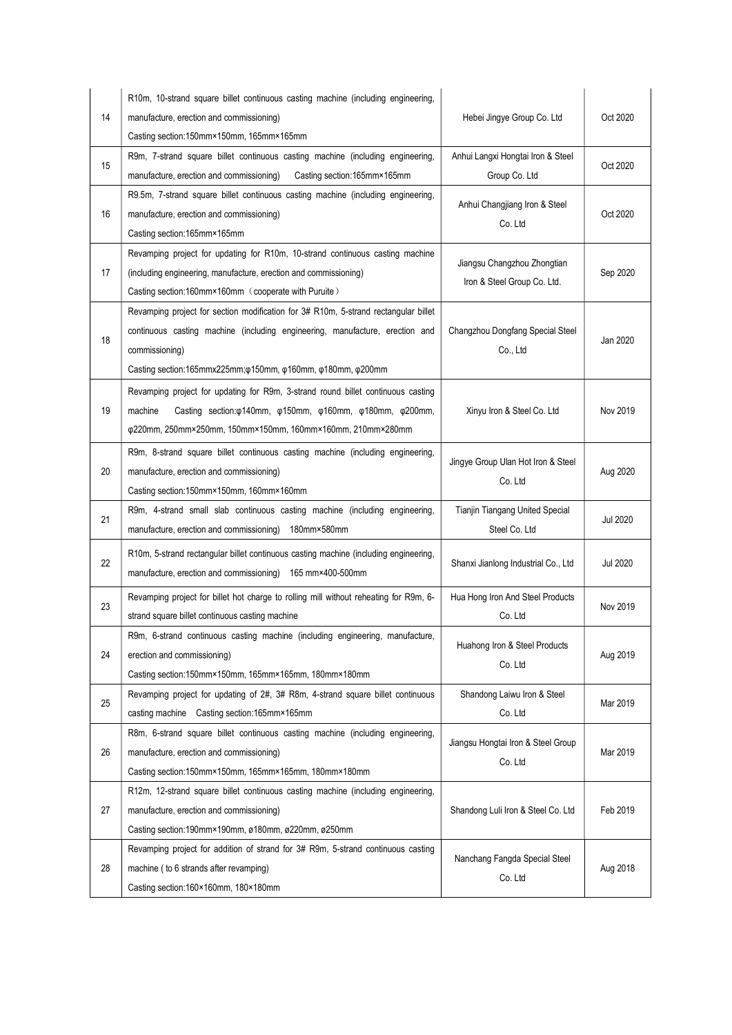| 14 | R10m, 10-strand square billet continuous casting machine (including engineering,<br>manufacture, erection and commissioning)<br>Casting section:150mm×150mm, 165mm×165mm                                                                                                                 | Hebei Jingye Group Co. Ltd                                 | Oct 2020        |
|----|------------------------------------------------------------------------------------------------------------------------------------------------------------------------------------------------------------------------------------------------------------------------------------------|------------------------------------------------------------|-----------------|
| 15 | R9m, 7-strand square billet continuous casting machine (including engineering,<br>manufacture, erection and commissioning)<br>Casting section: 165mm×165mm                                                                                                                               | Anhui Langxi Hongtai Iron & Steel<br>Group Co. Ltd         | Oct 2020        |
| 16 | R9.5m, 7-strand square billet continuous casting machine (including engineering,<br>manufacture, erection and commissioning)<br>Casting section:165mm×165mm                                                                                                                              | Anhui Changjiang Iron & Steel<br>Co. Ltd                   | Oct 2020        |
| 17 | Revamping project for updating for R10m, 10-strand continuous casting machine<br>(including engineering, manufacture, erection and commissioning)<br>Casting section:160mm×160mm (cooperate with Puruite)                                                                                | Jiangsu Changzhou Zhongtian<br>Iron & Steel Group Co. Ltd. | Sep 2020        |
| 18 | Revamping project for section modification for 3# R10m, 5-strand rectangular billet<br>continuous casting machine (including engineering, manufacture, erection and<br>commissioning)<br>Casting section:165mmx225mm; $\varphi$ 150mm, $\varphi$ 160mm, $\varphi$ 180mm, $\varphi$ 200mm | Changzhou Dongfang Special Steel<br>Co., Ltd               | Jan 2020        |
| 19 | Revamping project for updating for R9m, 3-strand round billet continuous casting<br>Casting section: $\varphi$ 140mm, $\varphi$ 150mm, $\varphi$ 160mm, $\varphi$ 180mm, $\varphi$ 200mm,<br>machine<br>φ220mm, 250mm×250mm, 150mm×150mm, 160mm×160mm, 210mm×280mm                       | Xinyu Iron & Steel Co. Ltd                                 | Nov 2019        |
| 20 | R9m, 8-strand square billet continuous casting machine (including engineering,<br>manufacture, erection and commissioning)<br>Casting section:150mm×150mm, 160mm×160mm                                                                                                                   | Jingye Group Ulan Hot Iron & Steel<br>Co. Ltd              | Aug 2020        |
| 21 | R9m, 4-strand small slab continuous casting machine (including engineering,<br>manufacture, erection and commissioning)<br>180mm×580mm                                                                                                                                                   | Tianjin Tiangang United Special<br>Steel Co. Ltd           | <b>Jul 2020</b> |
| 22 | R10m, 5-strand rectangular billet continuous casting machine (including engineering,<br>manufacture, erection and commissioning) 165 mm×400-500mm                                                                                                                                        | Shanxi Jianlong Industrial Co., Ltd                        | <b>Jul 2020</b> |
| 23 | Revamping project for billet hot charge to rolling mill without reheating for R9m, 6-<br>strand square billet continuous casting machine                                                                                                                                                 | Hua Hong Iron And Steel Products<br>Co. Ltd                | Nov 2019        |
| 24 | R9m, 6-strand continuous casting machine (including engineering, manufacture,<br>erection and commissioning)<br>Casting section:150mm×150mm, 165mm×165mm, 180mm×180mm                                                                                                                    | Huahong Iron & Steel Products<br>Co. Ltd                   | Aug 2019        |
| 25 | Revamping project for updating of 2#, 3# R8m, 4-strand square billet continuous<br>casting machine Casting section:165mm×165mm                                                                                                                                                           | Shandong Laiwu Iron & Steel<br>Co. Ltd                     | Mar 2019        |
| 26 | R8m, 6-strand square billet continuous casting machine (including engineering,<br>manufacture, erection and commissioning)<br>Casting section:150mm×150mm, 165mm×165mm, 180mm×180mm                                                                                                      | Jiangsu Hongtai Iron & Steel Group<br>Co. Ltd              | Mar 2019        |
| 27 | R12m, 12-strand square billet continuous casting machine (including engineering,<br>manufacture, erection and commissioning)<br>Casting section:190mm×190mm, ø180mm, ø220mm, ø250mm                                                                                                      | Shandong Luli Iron & Steel Co. Ltd                         | Feb 2019        |
| 28 | Revamping project for addition of strand for 3# R9m, 5-strand continuous casting<br>machine ( to 6 strands after revamping)<br>Casting section:160×160mm, 180×180mm                                                                                                                      | Nanchang Fangda Special Steel<br>Co. Ltd                   | Aug 2018        |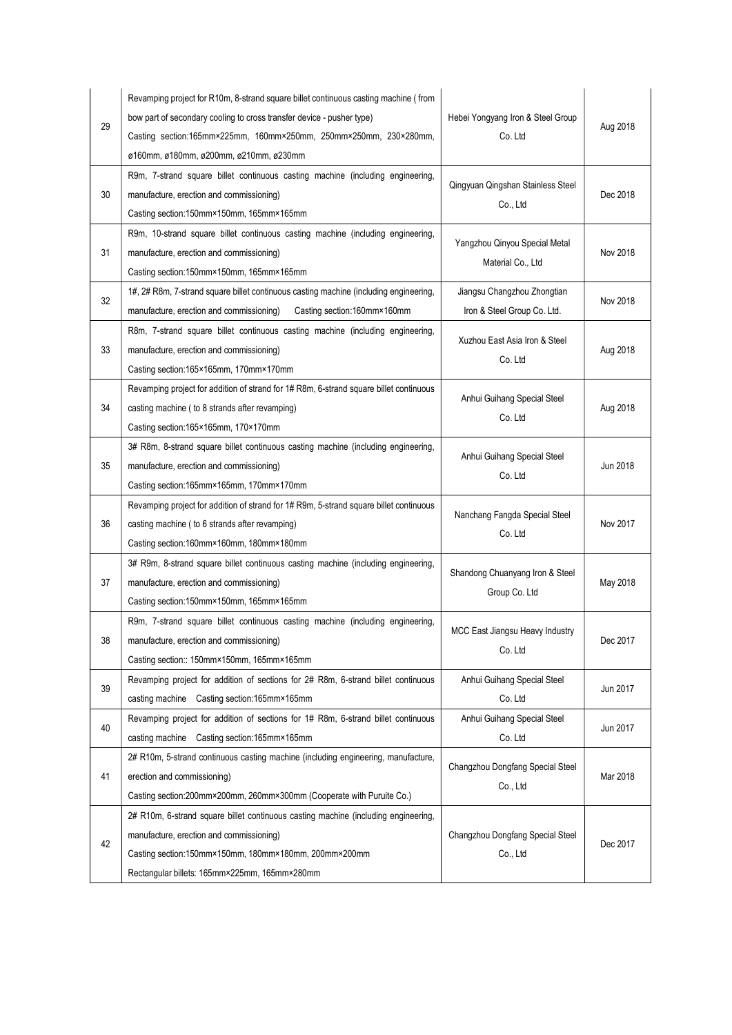| 29 | Revamping project for R10m, 8-strand square billet continuous casting machine (from<br>bow part of secondary cooling to cross transfer device - pusher type)<br>Casting section:165mm×225mm, 160mm×250mm, 250mm×250mm, 230×280mm,<br>ø160mm, ø180mm, ø200mm, ø210mm, ø230mm | Hebei Yongyang Iron & Steel Group<br>Co. Ltd               | Aug 2018 |
|----|-----------------------------------------------------------------------------------------------------------------------------------------------------------------------------------------------------------------------------------------------------------------------------|------------------------------------------------------------|----------|
| 30 | R9m, 7-strand square billet continuous casting machine (including engineering,<br>manufacture, erection and commissioning)<br>Casting section:150mm×150mm, 165mm×165mm                                                                                                      | Qingyuan Qingshan Stainless Steel<br>Co., Ltd              | Dec 2018 |
| 31 | R9m, 10-strand square billet continuous casting machine (including engineering,<br>manufacture, erection and commissioning)<br>Casting section:150mm×150mm, 165mm×165mm                                                                                                     | Yangzhou Qinyou Special Metal<br>Material Co., Ltd         | Nov 2018 |
| 32 | 1#, 2# R8m, 7-strand square billet continuous casting machine (including engineering,<br>Casting section:160mm×160mm<br>manufacture, erection and commissioning)                                                                                                            | Jiangsu Changzhou Zhongtian<br>Iron & Steel Group Co. Ltd. | Nov 2018 |
| 33 | R8m, 7-strand square billet continuous casting machine (including engineering,<br>manufacture, erection and commissioning)<br>Casting section:165×165mm, 170mm×170mm                                                                                                        | Xuzhou East Asia Iron & Steel<br>Co. Ltd                   | Aug 2018 |
| 34 | Revamping project for addition of strand for 1# R8m, 6-strand square billet continuous<br>casting machine (to 8 strands after revamping)<br>Casting section:165×165mm, 170×170mm                                                                                            | Anhui Guihang Special Steel<br>Co. Ltd                     | Aug 2018 |
| 35 | 3# R8m, 8-strand square billet continuous casting machine (including engineering,<br>manufacture, erection and commissioning)<br>Casting section:165mm×165mm, 170mm×170mm                                                                                                   | Anhui Guihang Special Steel<br>Co. Ltd                     | Jun 2018 |
| 36 | Revamping project for addition of strand for 1# R9m, 5-strand square billet continuous<br>casting machine (to 6 strands after revamping)<br>Casting section:160mm×160mm, 180mm×180mm                                                                                        | Nanchang Fangda Special Steel<br>Co. Ltd                   | Nov 2017 |
| 37 | 3# R9m, 8-strand square billet continuous casting machine (including engineering,<br>manufacture, erection and commissioning)<br>Casting section:150mm×150mm, 165mm×165mm                                                                                                   | Shandong Chuanyang Iron & Steel<br>Group Co. Ltd           | May 2018 |
| 38 | R9m, 7-strand square billet continuous casting machine (including engineering,<br>manufacture, erection and commissioning)<br>Casting section:: 150mm×150mm, 165mm×165mm                                                                                                    | MCC East Jiangsu Heavy Industry<br>Co. Ltd                 | Dec 2017 |
| 39 | Revamping project for addition of sections for 2# R8m, 6-strand billet continuous<br>casting machine Casting section:165mm×165mm                                                                                                                                            | Anhui Guihang Special Steel<br>Co. Ltd                     | Jun 2017 |
| 40 | Revamping project for addition of sections for 1# R8m, 6-strand billet continuous<br>casting machine Casting section:165mm×165mm                                                                                                                                            | Anhui Guihang Special Steel<br>Co. Ltd                     | Jun 2017 |
| 41 | 2# R10m, 5-strand continuous casting machine (including engineering, manufacture,<br>erection and commissioning)<br>Casting section:200mm×200mm, 260mm×300mm (Cooperate with Puruite Co.)                                                                                   | Changzhou Dongfang Special Steel<br>Co., Ltd               | Mar 2018 |
| 42 | 2# R10m, 6-strand square billet continuous casting machine (including engineering,<br>manufacture, erection and commissioning)<br>Casting section:150mm×150mm, 180mm×180mm, 200mm×200mm<br>Rectangular billets: 165mm×225mm, 165mm×280mm                                    | Changzhou Dongfang Special Steel<br>Co., Ltd               | Dec 2017 |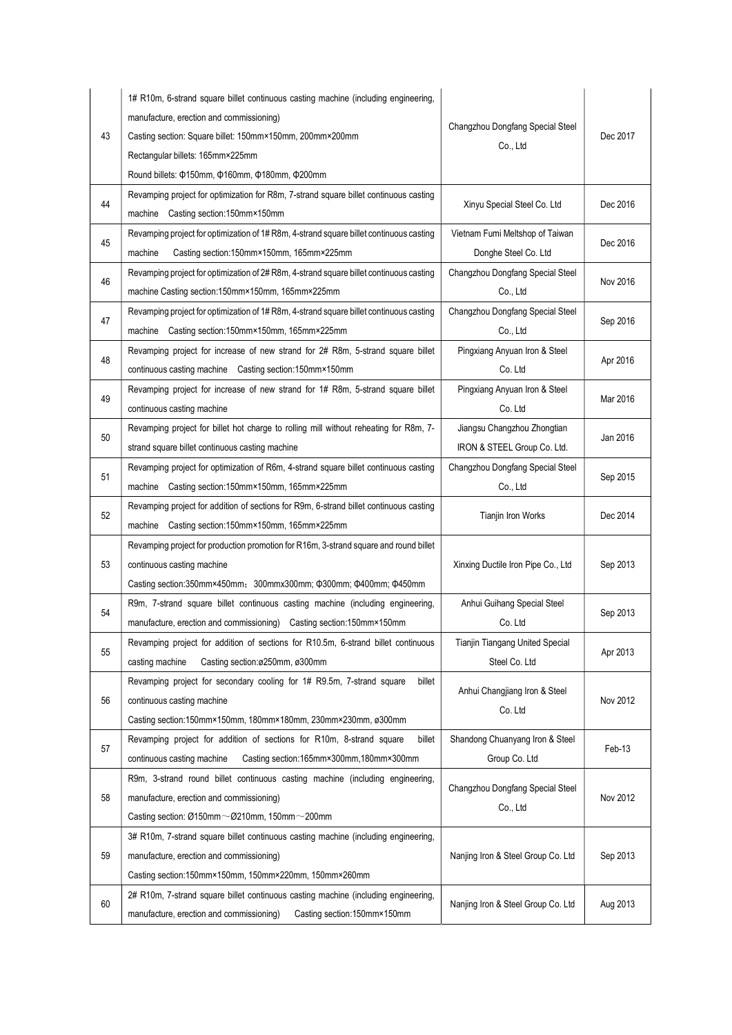| 43 | 1# R10m, 6-strand square billet continuous casting machine (including engineering,<br>manufacture, erection and commissioning)<br>Casting section: Square billet: 150mm×150mm, 200mm×200mm<br>Rectangular billets: 165mm×225mm<br>Round billets: $\Phi$ 150mm, $\Phi$ 160mm, $\Phi$ 180mm, $\Phi$ 200mm | Changzhou Dongfang Special Steel<br>Co., Ltd               | Dec 2017 |
|----|---------------------------------------------------------------------------------------------------------------------------------------------------------------------------------------------------------------------------------------------------------------------------------------------------------|------------------------------------------------------------|----------|
| 44 | Revamping project for optimization for R8m, 7-strand square billet continuous casting<br>machine Casting section:150mm×150mm                                                                                                                                                                            | Xinyu Special Steel Co. Ltd                                | Dec 2016 |
| 45 | Revamping project for optimization of 1#R8m, 4-strand square billet continuous casting<br>Casting section:150mm×150mm, 165mm×225mm<br>machine                                                                                                                                                           | Vietnam Fumi Meltshop of Taiwan<br>Donghe Steel Co. Ltd    | Dec 2016 |
| 46 | Revamping project for optimization of 2# R8m, 4-strand square billet continuous casting<br>machine Casting section:150mm×150mm, 165mm×225mm                                                                                                                                                             | Changzhou Dongfang Special Steel<br>Co., Ltd               | Nov 2016 |
| 47 | Revamping project for optimization of 1#R8m, 4-strand square billet continuous casting<br>machine Casting section:150mm×150mm, 165mm×225mm                                                                                                                                                              | Changzhou Dongfang Special Steel<br>Co., Ltd               | Sep 2016 |
| 48 | Revamping project for increase of new strand for 2# R8m, 5-strand square billet<br>continuous casting machine Casting section:150mm×150mm                                                                                                                                                               | Pingxiang Anyuan Iron & Steel<br>Co. Ltd                   | Apr 2016 |
| 49 | Revamping project for increase of new strand for 1# R8m, 5-strand square billet<br>continuous casting machine                                                                                                                                                                                           | Pingxiang Anyuan Iron & Steel<br>Co. Ltd                   | Mar 2016 |
| 50 | Revamping project for billet hot charge to rolling mill without reheating for R8m, 7-<br>strand square billet continuous casting machine                                                                                                                                                                | Jiangsu Changzhou Zhongtian<br>IRON & STEEL Group Co. Ltd. | Jan 2016 |
| 51 | Revamping project for optimization of R6m, 4-strand square billet continuous casting<br>machine Casting section:150mm×150mm, 165mm×225mm                                                                                                                                                                | Changzhou Dongfang Special Steel<br>Co., Ltd               | Sep 2015 |
| 52 | Revamping project for addition of sections for R9m, 6-strand billet continuous casting<br>machine Casting section:150mm×150mm, 165mm×225mm                                                                                                                                                              | Tianjin Iron Works                                         | Dec 2014 |
| 53 | Revamping project for production promotion for R16m, 3-strand square and round billet<br>continuous casting machine<br>Casting section:350mm×450mm; 300mmx300mm; $\Phi$ 300mm; $\Phi$ 400mm; $\Phi$ 450mm                                                                                               | Xinxing Ductile Iron Pipe Co., Ltd                         | Sep 2013 |
| 54 | R9m, 7-strand square billet continuous casting machine (including engineering,<br>manufacture, erection and commissioning) Casting section:150mm×150mm                                                                                                                                                  | Anhui Guihang Special Steel<br>Co. Ltd                     | Sep 2013 |
| 55 | Revamping project for addition of sections for R10.5m, 6-strand billet continuous<br>casting machine<br>Casting section:ø250mm, ø300mm                                                                                                                                                                  | Tianjin Tiangang United Special<br>Steel Co. Ltd           | Apr 2013 |
| 56 | Revamping project for secondary cooling for 1# R9.5m, 7-strand square<br>billet<br>continuous casting machine<br>Casting section:150mm×150mm, 180mm×180mm, 230mm×230mm, ø300mm                                                                                                                          | Anhui Changjiang Iron & Steel<br>Co. Ltd                   | Nov 2012 |
| 57 | Revamping project for addition of sections for R10m, 8-strand square<br>billet<br>continuous casting machine<br>Casting section:165mm×300mm,180mm×300mm                                                                                                                                                 | Shandong Chuanyang Iron & Steel<br>Group Co. Ltd           | Feb-13   |
| 58 | R9m, 3-strand round billet continuous casting machine (including engineering,<br>manufacture, erection and commissioning)<br>Casting section: Ø150mm~Ø210mm, 150mm~200mm                                                                                                                                | Changzhou Dongfang Special Steel<br>Co., Ltd               | Nov 2012 |
| 59 | 3# R10m, 7-strand square billet continuous casting machine (including engineering,<br>manufacture, erection and commissioning)<br>Casting section:150mm×150mm, 150mm×220mm, 150mm×260mm                                                                                                                 | Nanjing Iron & Steel Group Co. Ltd                         | Sep 2013 |
| 60 | 2# R10m, 7-strand square billet continuous casting machine (including engineering,<br>manufacture, erection and commissioning)<br>Casting section:150mm×150mm                                                                                                                                           | Nanjing Iron & Steel Group Co. Ltd                         | Aug 2013 |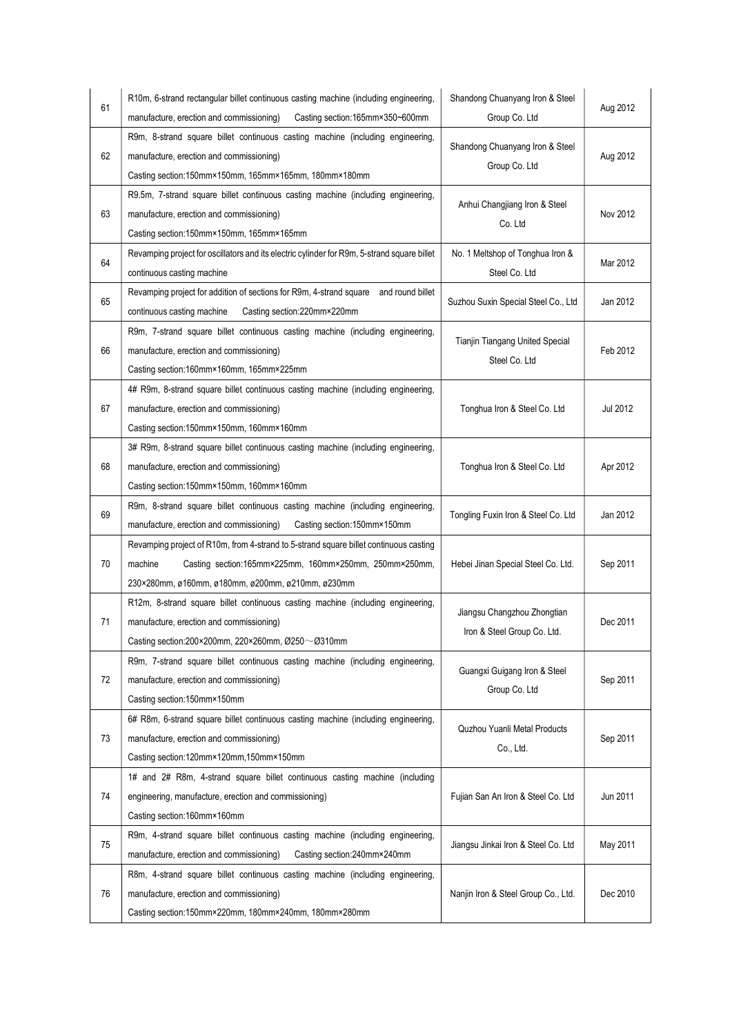| 61 | R10m, 6-strand rectangular billet continuous casting machine (including engineering,<br>Casting section:165mm×350~600mm<br>manufacture, erection and commissioning)                                             | Shandong Chuanyang Iron & Steel<br>Group Co. Ltd           | Aug 2012 |
|----|-----------------------------------------------------------------------------------------------------------------------------------------------------------------------------------------------------------------|------------------------------------------------------------|----------|
| 62 | R9m, 8-strand square billet continuous casting machine (including engineering,<br>manufacture, erection and commissioning)<br>Casting section:150mm×150mm, 165mm×165mm, 180mm×180mm                             | Shandong Chuanyang Iron & Steel<br>Group Co. Ltd           | Aug 2012 |
| 63 | R9.5m, 7-strand square billet continuous casting machine (including engineering,<br>manufacture, erection and commissioning)<br>Casting section:150mm×150mm, 165mm×165mm                                        | Anhui Changjiang Iron & Steel<br>Co. Ltd                   | Nov 2012 |
| 64 | Revamping project for oscillators and its electric cylinder for R9m, 5-strand square billet<br>continuous casting machine                                                                                       | No. 1 Meltshop of Tonghua Iron &<br>Steel Co. Ltd          | Mar 2012 |
| 65 | Revamping project for addition of sections for R9m, 4-strand square and round billet<br>continuous casting machine<br>Casting section:220mm×220mm                                                               | Suzhou Suxin Special Steel Co., Ltd                        | Jan 2012 |
| 66 | R9m, 7-strand square billet continuous casting machine (including engineering,<br>manufacture, erection and commissioning)<br>Casting section:160mm×160mm, 165mm×225mm                                          | Tianjin Tiangang United Special<br>Steel Co. Ltd           | Feb 2012 |
| 67 | 4# R9m, 8-strand square billet continuous casting machine (including engineering,<br>manufacture, erection and commissioning)<br>Casting section:150mm×150mm, 160mm×160mm                                       | Tonghua Iron & Steel Co. Ltd                               | Jul 2012 |
| 68 | 3# R9m, 8-strand square billet continuous casting machine (including engineering,<br>manufacture, erection and commissioning)<br>Casting section:150mm×150mm, 160mm×160mm                                       | Tonghua Iron & Steel Co. Ltd                               | Apr 2012 |
| 69 | R9m, 8-strand square billet continuous casting machine (including engineering,<br>manufacture, erection and commissioning)<br>Casting section:150mm×150mm                                                       | Tongling Fuxin Iron & Steel Co. Ltd                        | Jan 2012 |
| 70 | Revamping project of R10m, from 4-strand to 5-strand square billet continuous casting<br>machine<br>Casting section:165mm×225mm, 160mm×250mm, 250mm×250mm,<br>230×280mm, ø160mm, ø180mm, ø200mm, ø210mm, ø230mm | Hebei Jinan Special Steel Co. Ltd.                         | Sep 2011 |
| 71 | R12m, 8-strand square billet continuous casting machine (including engineering,<br>manufacture, erection and commissioning)<br>Casting section:200×200mm, 220×260mm, Ø250 ~ Ø310mm                              | Jiangsu Changzhou Zhongtian<br>Iron & Steel Group Co. Ltd. | Dec 2011 |
| 72 | R9m, 7-strand square billet continuous casting machine (including engineering,<br>manufacture, erection and commissioning)<br>Casting section:150mm×150mm                                                       | Guangxi Guigang Iron & Steel<br>Group Co. Ltd              | Sep 2011 |
| 73 | 6# R8m, 6-strand square billet continuous casting machine (including engineering,<br>manufacture, erection and commissioning)<br>Casting section:120mm×120mm,150mm×150mm                                        | Quzhou Yuanli Metal Products<br>Co., Ltd.                  | Sep 2011 |
| 74 | 1# and 2# R8m, 4-strand square billet continuous casting machine (including<br>engineering, manufacture, erection and commissioning)<br>Casting section:160mm×160mm                                             | Fujian San An Iron & Steel Co. Ltd                         | Jun 2011 |
| 75 | R9m, 4-strand square billet continuous casting machine (including engineering,<br>manufacture, erection and commissioning)<br>Casting section:240mm×240mm                                                       | Jiangsu Jinkai Iron & Steel Co. Ltd                        | May 2011 |
| 76 | R8m, 4-strand square billet continuous casting machine (including engineering,<br>manufacture, erection and commissioning)<br>Casting section:150mm×220mm, 180mm×240mm, 180mm×280mm                             | Nanjin Iron & Steel Group Co., Ltd.                        | Dec 2010 |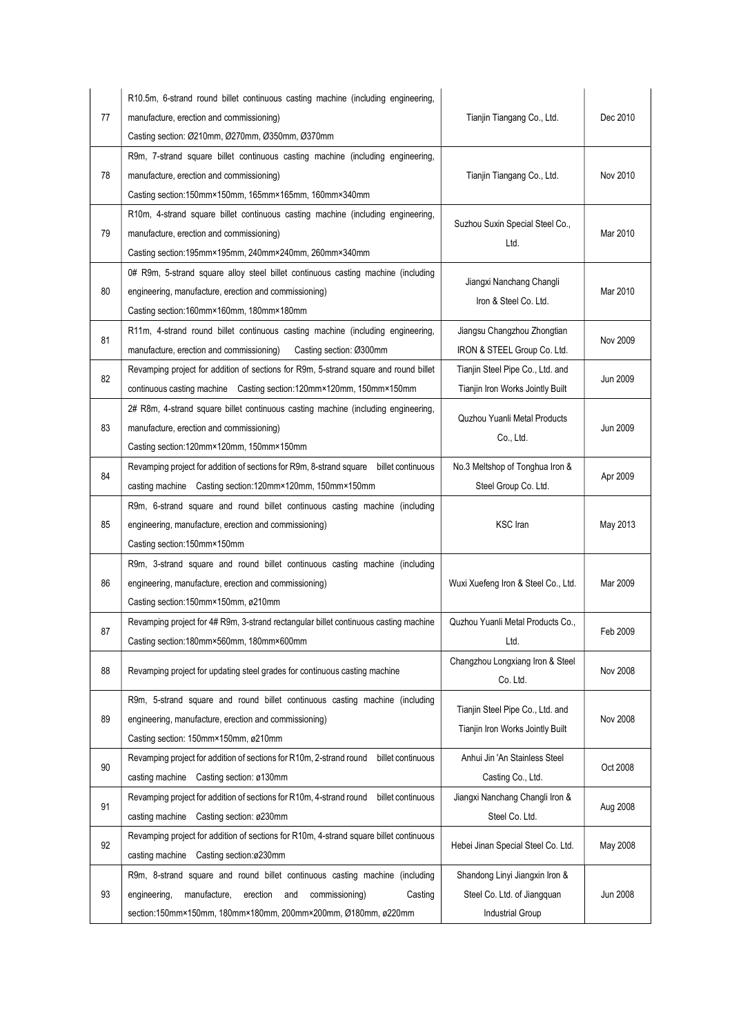| 77 | R10.5m, 6-strand round billet continuous casting machine (including engineering,<br>manufacture, erection and commissioning)                                                                                                                  | Tianjin Tiangang Co., Ltd.                                                        | Dec 2010        |
|----|-----------------------------------------------------------------------------------------------------------------------------------------------------------------------------------------------------------------------------------------------|-----------------------------------------------------------------------------------|-----------------|
| 78 | Casting section: Ø210mm, Ø270mm, Ø350mm, Ø370mm<br>R9m, 7-strand square billet continuous casting machine (including engineering,<br>manufacture, erection and commissioning)                                                                 | Tianjin Tiangang Co., Ltd.                                                        | Nov 2010        |
| 79 | Casting section:150mm×150mm, 165mm×165mm, 160mm×340mm<br>R10m, 4-strand square billet continuous casting machine (including engineering,<br>manufacture, erection and commissioning)<br>Casting section:195mm×195mm, 240mm×240mm, 260mm×340mm | Suzhou Suxin Special Steel Co.,<br>Ltd.                                           | Mar 2010        |
| 80 | 0# R9m, 5-strand square alloy steel billet continuous casting machine (including<br>engineering, manufacture, erection and commissioning)<br>Casting section:160mm×160mm, 180mm×180mm                                                         | Jiangxi Nanchang Changli<br>Iron & Steel Co. Ltd.                                 | Mar 2010        |
| 81 | R11m, 4-strand round billet continuous casting machine (including engineering,<br>Casting section: Ø300mm<br>manufacture, erection and commissioning)                                                                                         | Jiangsu Changzhou Zhongtian<br>IRON & STEEL Group Co. Ltd.                        | Nov 2009        |
| 82 | Revamping project for addition of sections for R9m, 5-strand square and round billet<br>continuous casting machine Casting section:120mm×120mm, 150mm×150mm                                                                                   | Tianjin Steel Pipe Co., Ltd. and<br>Tianjin Iron Works Jointly Built              | Jun 2009        |
| 83 | 2# R8m, 4-strand square billet continuous casting machine (including engineering,<br>manufacture, erection and commissioning)<br>Casting section:120mm×120mm, 150mm×150mm                                                                     | Quzhou Yuanli Metal Products<br>Co., Ltd.                                         | <b>Jun 2009</b> |
| 84 | Revamping project for addition of sections for R9m, 8-strand square billet continuous<br>casting machine Casting section:120mm×120mm, 150mm×150mm                                                                                             | No.3 Meltshop of Tonghua Iron &<br>Steel Group Co. Ltd.                           | Apr 2009        |
| 85 | R9m, 6-strand square and round billet continuous casting machine (including<br>engineering, manufacture, erection and commissioning)<br>Casting section:150mm×150mm                                                                           | <b>KSC</b> Iran                                                                   | May 2013        |
| 86 | R9m, 3-strand square and round billet continuous casting machine (including<br>engineering, manufacture, erection and commissioning)<br>Casting section:150mm×150mm, ø210mm                                                                   | Wuxi Xuefeng Iron & Steel Co., Ltd.                                               | Mar 2009        |
| 87 | Revamping project for 4# R9m, 3-strand rectangular billet continuous casting machine<br>Casting section:180mm×560mm, 180mm×600mm                                                                                                              | Quzhou Yuanli Metal Products Co.,<br>Ltd.                                         | Feb 2009        |
| 88 | Revamping project for updating steel grades for continuous casting machine                                                                                                                                                                    | Changzhou Longxiang Iron & Steel<br>Co. Ltd.                                      | Nov 2008        |
| 89 | R9m, 5-strand square and round billet continuous casting machine (including<br>engineering, manufacture, erection and commissioning)<br>Casting section: 150mm×150mm, ø210mm                                                                  | Tianjin Steel Pipe Co., Ltd. and<br>Tianjin Iron Works Jointly Built              | Nov 2008        |
| 90 | Revamping project for addition of sections for R10m, 2-strand round<br>billet continuous<br>casting machine Casting section: ø130mm                                                                                                           | Anhui Jin 'An Stainless Steel<br>Casting Co., Ltd.                                | Oct 2008        |
| 91 | Revamping project for addition of sections for R10m, 4-strand round billet continuous<br>casting machine Casting section: ø230mm                                                                                                              | Jiangxi Nanchang Changli Iron &<br>Steel Co. Ltd.                                 | Aug 2008        |
| 92 | Revamping project for addition of sections for R10m, 4-strand square billet continuous<br>casting machine Casting section:ø230mm                                                                                                              | Hebei Jinan Special Steel Co. Ltd.                                                | May 2008        |
| 93 | R9m, 8-strand square and round billet continuous casting machine (including<br>engineering,<br>manufacture,<br>erection<br>commissioning)<br>Casting<br>and<br>section:150mm×150mm, 180mm×180mm, 200mm×200mm, Ø180mm, ø220mm                  | Shandong Linyi Jiangxin Iron &<br>Steel Co. Ltd. of Jiangquan<br>Industrial Group | Jun 2008        |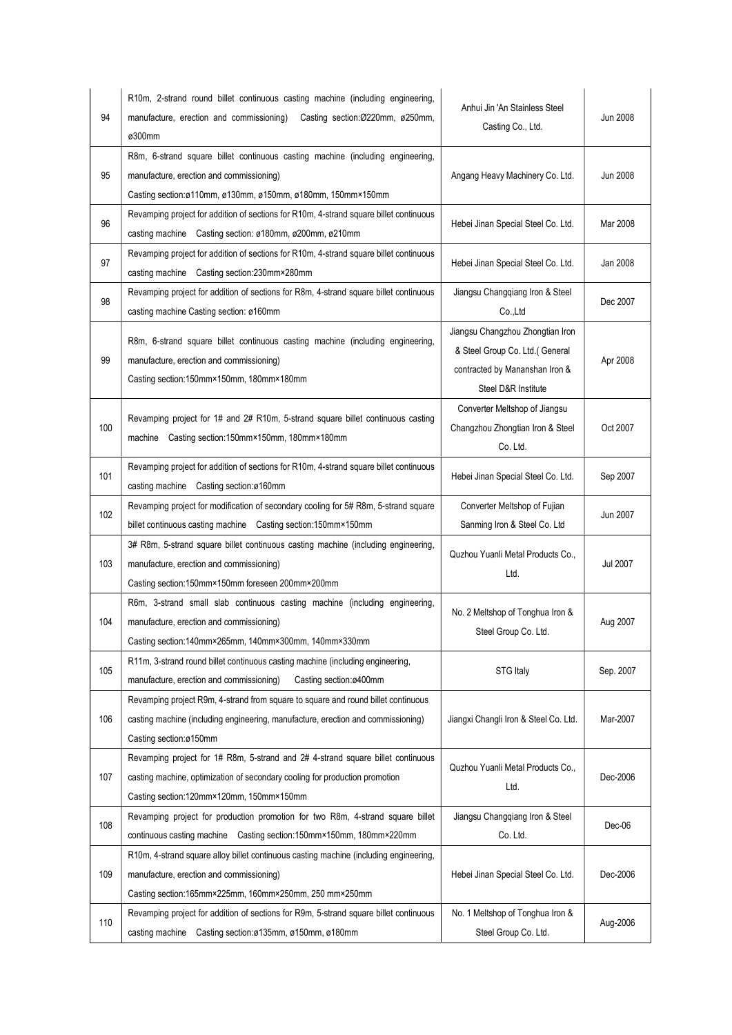| 94  | R10m, 2-strand round billet continuous casting machine (including engineering,<br>manufacture, erection and commissioning)<br>Casting section: Ø220mm, ø250mm,<br>ø300mm                                   | Anhui Jin 'An Stainless Steel<br>Casting Co., Ltd.                                                                          | <b>Jun 2008</b> |
|-----|------------------------------------------------------------------------------------------------------------------------------------------------------------------------------------------------------------|-----------------------------------------------------------------------------------------------------------------------------|-----------------|
| 95  | R8m, 6-strand square billet continuous casting machine (including engineering,<br>manufacture, erection and commissioning)<br>Casting section:ø110mm, ø130mm, ø150mm, ø180mm, 150mm×150mm                  | Angang Heavy Machinery Co. Ltd.                                                                                             | Jun 2008        |
| 96  | Revamping project for addition of sections for R10m, 4-strand square billet continuous<br>casting machine Casting section: ø180mm, ø200mm, ø210mm                                                          | Hebei Jinan Special Steel Co. Ltd.                                                                                          | Mar 2008        |
| 97  | Revamping project for addition of sections for R10m, 4-strand square billet continuous<br>casting machine Casting section:230mm×280mm                                                                      | Hebei Jinan Special Steel Co. Ltd.                                                                                          | Jan 2008        |
| 98  | Revamping project for addition of sections for R8m, 4-strand square billet continuous<br>casting machine Casting section: ø160mm                                                                           | Jiangsu Changqiang Iron & Steel<br>Co.,Ltd                                                                                  | Dec 2007        |
| 99  | R8m, 6-strand square billet continuous casting machine (including engineering,<br>manufacture, erection and commissioning)<br>Casting section:150mm×150mm, 180mm×180mm                                     | Jiangsu Changzhou Zhongtian Iron<br>& Steel Group Co. Ltd.(General<br>contracted by Mananshan Iron &<br>Steel D&R Institute | Apr 2008        |
| 100 | Revamping project for 1# and 2# R10m, 5-strand square billet continuous casting<br>Casting section:150mm×150mm, 180mm×180mm<br>machine                                                                     | Converter Meltshop of Jiangsu<br>Changzhou Zhongtian Iron & Steel<br>Co. Ltd.                                               | Oct 2007        |
| 101 | Revamping project for addition of sections for R10m, 4-strand square billet continuous<br>casting machine Casting section:ø160mm                                                                           | Hebei Jinan Special Steel Co. Ltd.                                                                                          | Sep 2007        |
| 102 | Revamping project for modification of secondary cooling for 5# R8m, 5-strand square<br>billet continuous casting machine Casting section:150mm×150mm                                                       | Converter Meltshop of Fujian<br>Sanming Iron & Steel Co. Ltd                                                                | Jun 2007        |
| 103 | 3# R8m, 5-strand square billet continuous casting machine (including engineering,<br>manufacture, erection and commissioning)<br>Casting section:150mm×150mm foreseen 200mm×200mm                          | Quzhou Yuanli Metal Products Co.,<br>Ltd.                                                                                   | <b>Jul 2007</b> |
| 104 | R6m, 3-strand small slab continuous casting machine (including engineering,<br>manufacture, erection and commissioning)<br>Casting section:140mm×265mm, 140mm×300mm, 140mm×330mm                           | No. 2 Meltshop of Tonghua Iron &<br>Steel Group Co. Ltd.                                                                    | Aug 2007        |
| 105 | R11m, 3-strand round billet continuous casting machine (including engineering,<br>Casting section:ø400mm<br>manufacture, erection and commissioning)                                                       | STG Italy                                                                                                                   | Sep. 2007       |
| 106 | Revamping project R9m, 4-strand from square to square and round billet continuous<br>casting machine (including engineering, manufacture, erection and commissioning)<br>Casting section:ø150mm            | Jiangxi Changli Iron & Steel Co. Ltd.                                                                                       | Mar-2007        |
| 107 | Revamping project for 1# R8m, 5-strand and 2# 4-strand square billet continuous<br>casting machine, optimization of secondary cooling for production promotion<br>Casting section:120mm×120mm, 150mm×150mm | Quzhou Yuanli Metal Products Co.,<br>Ltd.                                                                                   | Dec-2006        |
| 108 | Revamping project for production promotion for two R8m, 4-strand square billet<br>continuous casting machine Casting section:150mm×150mm, 180mm×220mm                                                      | Jiangsu Changqiang Iron & Steel<br>Co. Ltd.                                                                                 | Dec-06          |
| 109 | R10m, 4-strand square alloy billet continuous casting machine (including engineering,<br>manufacture, erection and commissioning)<br>Casting section:165mm×225mm, 160mm×250mm, 250 mm×250mm                | Hebei Jinan Special Steel Co. Ltd.                                                                                          | Dec-2006        |
| 110 | Revamping project for addition of sections for R9m, 5-strand square billet continuous<br>casting machine Casting section:ø135mm, ø150mm, ø180mm                                                            | No. 1 Meltshop of Tonghua Iron &<br>Steel Group Co. Ltd.                                                                    | Aug-2006        |